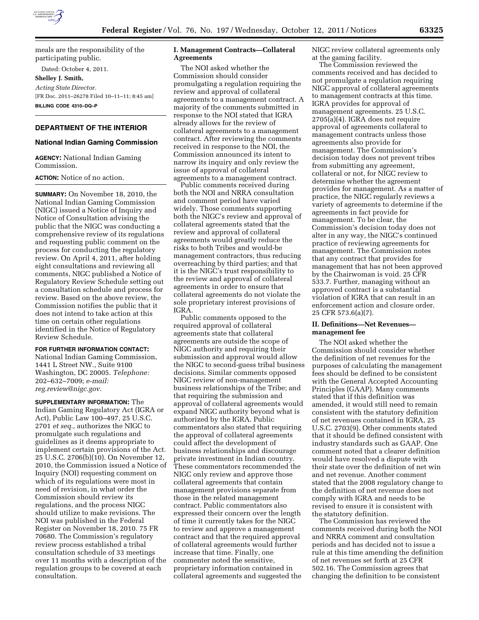

meals are the responsibility of the participating public.

Dated: October 4, 2011.

**Shelley J. Smith,** 

*Acting State Director.*  [FR Doc. 2011–26278 Filed 10–11–11; 8:45 am] **BILLING CODE 4310–DQ–P** 

# **DEPARTMENT OF THE INTERIOR**

#### **National Indian Gaming Commission**

**AGENCY:** National Indian Gaming Commission.

# **ACTION:** Notice of no action.

**SUMMARY:** On November 18, 2010, the National Indian Gaming Commission (NIGC) issued a Notice of Inquiry and Notice of Consultation advising the public that the NIGC was conducting a comprehensive review of its regulations and requesting public comment on the process for conducting the regulatory review. On April 4, 2011, after holding eight consultations and reviewing all comments, NIGC published a Notice of Regulatory Review Schedule setting out a consultation schedule and process for review. Based on the above review, the Commission notifies the public that it does not intend to take action at this time on certain other regulations identified in the Notice of Regulatory Review Schedule.

### **FOR FURTHER INFORMATION CONTACT:**

National Indian Gaming Commission, 1441 L Street NW., Suite 9100 Washington, DC 20005. *Telephone:*  202–632–7009; *e-mail: [reg.review@nigc.gov.](mailto:reg.review@nigc.gov)* 

**SUPPLEMENTARY INFORMATION:** The Indian Gaming Regulatory Act (IGRA or Act), Public Law 100–497, 25 U.S.C. 2701 *et seq.,* authorizes the NIGC to promulgate such regulations and guidelines as it deems appropriate to implement certain provisions of the Act. 25 U.S.C. 2706(b)(10). On November 12, 2010, the Commission issued a Notice of Inquiry (NOI) requesting comment on which of its regulations were most in need of revision, in what order the Commission should review its regulations, and the process NIGC should utilize to make revisions. The NOI was published in the Federal Register on November 18, 2010. 75 FR 70680. The Commission's regulatory review process established a tribal consultation schedule of 33 meetings over 11 months with a description of the regulation groups to be covered at each consultation.

# **I. Management Contracts—Collateral Agreements**

The NOI asked whether the Commission should consider promulgating a regulation requiring the review and approval of collateral agreements to a management contract. A majority of the comments submitted in response to the NOI stated that IGRA already allows for the review of collateral agreements to a management contract. After reviewing the comments received in response to the NOI, the Commission announced its intent to narrow its inquiry and only review the issue of approval of collateral agreements to a management contract.

Public comments received during both the NOI and NRRA consultation and comment period have varied widely. Those comments supporting both the NIGC's review and approval of collateral agreements stated that the review and approval of collateral agreements would greatly reduce the risks to both Tribes and would-be management contractors, thus reducing overreaching by third parties; and that it is the NIGC's trust responsibility to the review and approval of collateral agreements in order to ensure that collateral agreements do not violate the sole proprietary interest provisions of IGRA.

Public comments opposed to the required approval of collateral agreements state that collateral agreements are outside the scope of NIGC authority and requiring their submission and approval would allow the NIGC to second-guess tribal business decisions. Similar comments opposed NIGC review of non-management business relationships of the Tribe; and that requiring the submission and approval of collateral agreements would expand NIGC authority beyond what is authorized by the IGRA. Public commentators also stated that requiring the approval of collateral agreements could affect the development of business relationships and discourage private investment in Indian country. These commentators recommended the NIGC only review and approve those collateral agreements that contain management provisions separate from those in the related management contract. Public commentators also expressed their concern over the length of time it currently takes for the NIGC to review and approve a management contract and that the required approval of collateral agreements would further increase that time. Finally, one commenter noted the sensitive, proprietary information contained in collateral agreements and suggested the

NIGC review collateral agreements only at the gaming facility.

The Commission reviewed the comments received and has decided to not promulgate a regulation requiring NIGC approval of collateral agreements to management contracts at this time. IGRA provides for approval of management agreements. 25 U.S.C. 2705(a)(4). IGRA does not require approval of agreements collateral to management contracts unless those agreements also provide for management. The Commission's decision today does not prevent tribes from submitting any agreement, collateral or not, for NIGC review to determine whether the agreement provides for management. As a matter of practice, the NIGC regularly reviews a variety of agreements to determine if the agreements in fact provide for management. To be clear, the Commission's decision today does not alter in any way, the NIGC's continued practice of reviewing agreements for management. The Commission notes that any contract that provides for management that has not been approved by the Chairwoman is void. 25 CFR 533.7. Further, managing without an approved contract is a substantial violation of IGRA that can result in an enforcement action and closure order. 25 CFR 573.6(a)(7).

### **II. Definitions—Net Revenues management fee**

The NOI asked whether the Commission should consider whether the definition of net revenues for the purposes of calculating the management fees should be defined to be consistent with the General Accepted Accounting Principles (GAAP). Many comments stated that if this definition was amended, it would still need to remain consistent with the statutory definition of net revenues contained in IGRA, 25 U.S.C. 2703(9). Other comments stated that it should be defined consistent with industry standards such as GAAP. One comment noted that a clearer definition would have resolved a dispute with their state over the definition of net win and net revenue. Another comment stated that the 2008 regulatory change to the definition of net revenue does not comply with IGRA and needs to be revised to ensure it is consistent with the statutory definition.

The Commission has reviewed the comments received during both the NOI and NRRA comment and consultation periods and has decided not to issue a rule at this time amending the definition of net revenues set forth at 25 CFR 502.16. The Commission agrees that changing the definition to be consistent